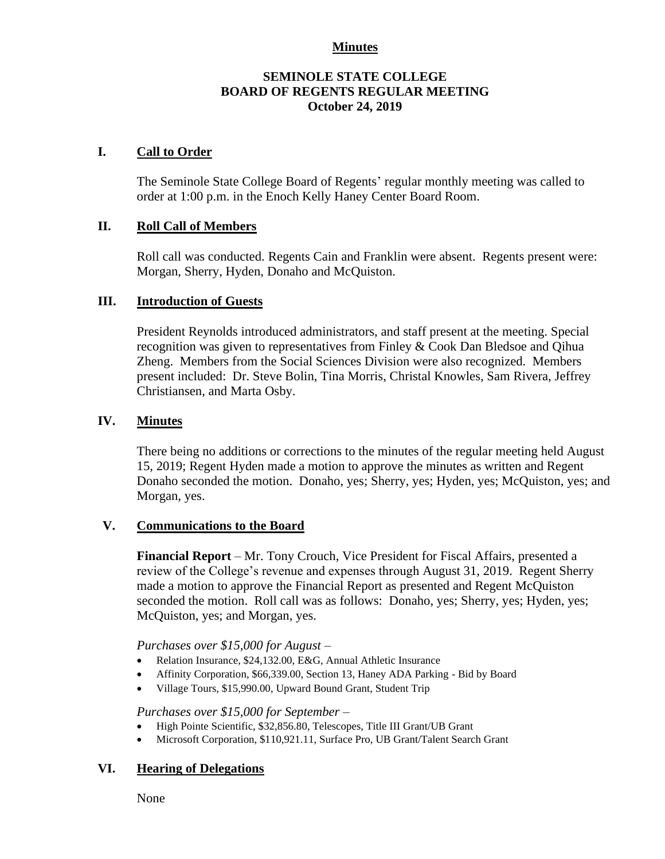### **Minutes**

## **SEMINOLE STATE COLLEGE BOARD OF REGENTS REGULAR MEETING October 24, 2019**

## **I. Call to Order**

The Seminole State College Board of Regents' regular monthly meeting was called to order at 1:00 p.m. in the Enoch Kelly Haney Center Board Room.

## **II. Roll Call of Members**

Roll call was conducted. Regents Cain and Franklin were absent. Regents present were: Morgan, Sherry, Hyden, Donaho and McQuiston.

### **III. Introduction of Guests**

President Reynolds introduced administrators, and staff present at the meeting. Special recognition was given to representatives from Finley & Cook Dan Bledsoe and Qihua Zheng. Members from the Social Sciences Division were also recognized. Members present included: Dr. Steve Bolin, Tina Morris, Christal Knowles, Sam Rivera, Jeffrey Christiansen, and Marta Osby.

#### **IV. Minutes**

There being no additions or corrections to the minutes of the regular meeting held August 15, 2019; Regent Hyden made a motion to approve the minutes as written and Regent Donaho seconded the motion. Donaho, yes; Sherry, yes; Hyden, yes; McQuiston, yes; and Morgan, yes.

#### **V. Communications to the Board**

**Financial Report** – Mr. Tony Crouch, Vice President for Fiscal Affairs, presented a review of the College's revenue and expenses through August 31, 2019. Regent Sherry made a motion to approve the Financial Report as presented and Regent McQuiston seconded the motion. Roll call was as follows: Donaho, yes; Sherry, yes; Hyden, yes; McQuiston, yes; and Morgan, yes.

*Purchases over \$15,000 for August –*

- Relation Insurance, \$24,132.00, E&G, Annual Athletic Insurance
- Affinity Corporation, \$66,339.00, Section 13, Haney ADA Parking Bid by Board
- Village Tours, \$15,990.00, Upward Bound Grant, Student Trip

#### *Purchases over \$15,000 for September –*

- High Pointe Scientific, \$32,856.80, Telescopes, Title III Grant/UB Grant
- Microsoft Corporation, \$110,921.11, Surface Pro, UB Grant/Talent Search Grant

### **VI. Hearing of Delegations**

None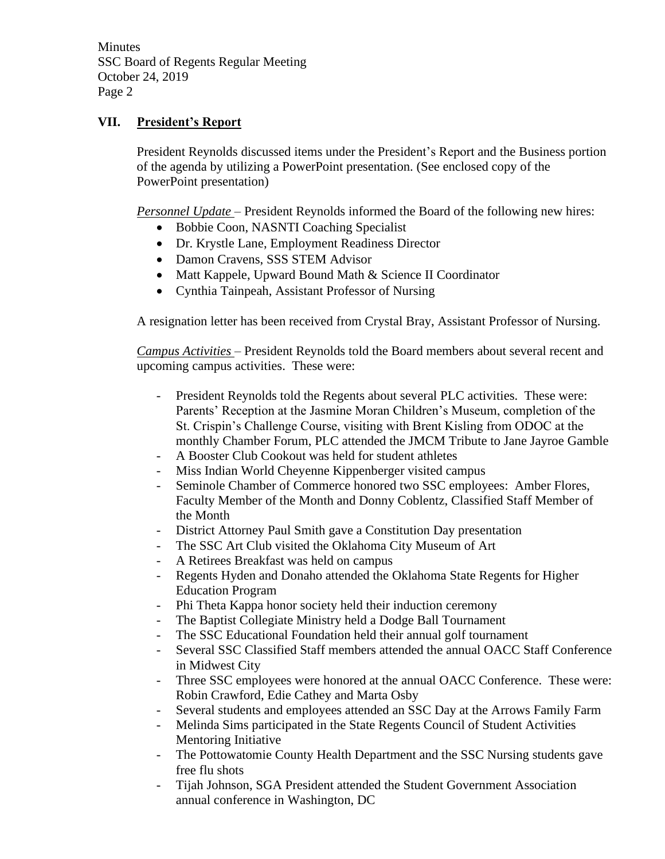## **VII. President's Report**

President Reynolds discussed items under the President's Report and the Business portion of the agenda by utilizing a PowerPoint presentation. (See enclosed copy of the PowerPoint presentation)

*Personnel Update* – President Reynolds informed the Board of the following new hires:

- Bobbie Coon, NASNTI Coaching Specialist
- Dr. Krystle Lane, Employment Readiness Director
- Damon Cravens, SSS STEM Advisor
- Matt Kappele, Upward Bound Math & Science II Coordinator
- Cynthia Tainpeah, Assistant Professor of Nursing

A resignation letter has been received from Crystal Bray, Assistant Professor of Nursing.

*Campus Activities* – President Reynolds told the Board members about several recent and upcoming campus activities. These were:

- President Reynolds told the Regents about several PLC activities. These were: Parents' Reception at the Jasmine Moran Children's Museum, completion of the St. Crispin's Challenge Course, visiting with Brent Kisling from ODOC at the monthly Chamber Forum, PLC attended the JMCM Tribute to Jane Jayroe Gamble
- A Booster Club Cookout was held for student athletes
- Miss Indian World Cheyenne Kippenberger visited campus
- Seminole Chamber of Commerce honored two SSC employees: Amber Flores, Faculty Member of the Month and Donny Coblentz, Classified Staff Member of the Month
- District Attorney Paul Smith gave a Constitution Day presentation
- The SSC Art Club visited the Oklahoma City Museum of Art
- A Retirees Breakfast was held on campus
- Regents Hyden and Donaho attended the Oklahoma State Regents for Higher Education Program
- Phi Theta Kappa honor society held their induction ceremony
- The Baptist Collegiate Ministry held a Dodge Ball Tournament
- The SSC Educational Foundation held their annual golf tournament
- Several SSC Classified Staff members attended the annual OACC Staff Conference in Midwest City
- Three SSC employees were honored at the annual OACC Conference. These were: Robin Crawford, Edie Cathey and Marta Osby
- Several students and employees attended an SSC Day at the Arrows Family Farm
- Melinda Sims participated in the State Regents Council of Student Activities Mentoring Initiative
- The Pottowatomie County Health Department and the SSC Nursing students gave free flu shots
- Tijah Johnson, SGA President attended the Student Government Association annual conference in Washington, DC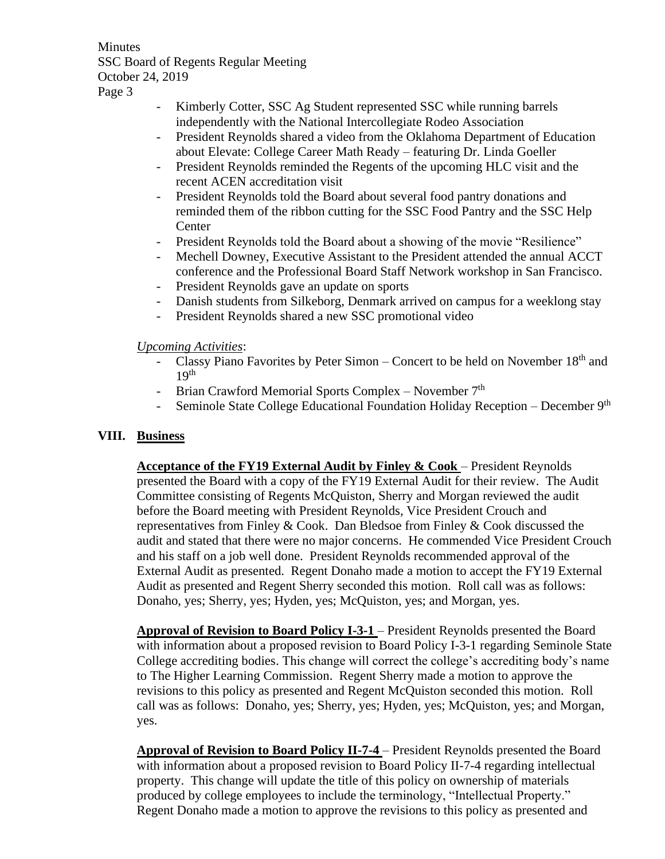- Kimberly Cotter, SSC Ag Student represented SSC while running barrels independently with the National Intercollegiate Rodeo Association
- President Reynolds shared a video from the Oklahoma Department of Education about Elevate: College Career Math Ready – featuring Dr. Linda Goeller
- President Reynolds reminded the Regents of the upcoming HLC visit and the recent ACEN accreditation visit
- President Reynolds told the Board about several food pantry donations and reminded them of the ribbon cutting for the SSC Food Pantry and the SSC Help **Center**
- President Reynolds told the Board about a showing of the movie "Resilience"
- Mechell Downey, Executive Assistant to the President attended the annual ACCT conference and the Professional Board Staff Network workshop in San Francisco.
- President Reynolds gave an update on sports
- Danish students from Silkeborg, Denmark arrived on campus for a weeklong stay
- President Reynolds shared a new SSC promotional video

## *Upcoming Activities*:

- Classy Piano Favorites by Peter Simon Concert to be held on November  $18<sup>th</sup>$  and  $19<sup>th</sup>$
- Brian Crawford Memorial Sports Complex November 7<sup>th</sup>
- Seminole State College Educational Foundation Holiday Reception December 9th

# **VIII. Business**

**Acceptance of the FY19 External Audit by Finley & Cook** – President Reynolds presented the Board with a copy of the FY19 External Audit for their review. The Audit Committee consisting of Regents McQuiston, Sherry and Morgan reviewed the audit before the Board meeting with President Reynolds, Vice President Crouch and representatives from Finley & Cook. Dan Bledsoe from Finley & Cook discussed the audit and stated that there were no major concerns. He commended Vice President Crouch and his staff on a job well done. President Reynolds recommended approval of the External Audit as presented. Regent Donaho made a motion to accept the FY19 External Audit as presented and Regent Sherry seconded this motion. Roll call was as follows: Donaho, yes; Sherry, yes; Hyden, yes; McQuiston, yes; and Morgan, yes.

**Approval of Revision to Board Policy I-3-1** – President Reynolds presented the Board with information about a proposed revision to Board Policy I-3-1 regarding Seminole State College accrediting bodies. This change will correct the college's accrediting body's name to The Higher Learning Commission. Regent Sherry made a motion to approve the revisions to this policy as presented and Regent McQuiston seconded this motion. Roll call was as follows: Donaho, yes; Sherry, yes; Hyden, yes; McQuiston, yes; and Morgan, yes.

**Approval of Revision to Board Policy II-7-4** – President Reynolds presented the Board with information about a proposed revision to Board Policy II-7-4 regarding intellectual property. This change will update the title of this policy on ownership of materials produced by college employees to include the terminology, "Intellectual Property." Regent Donaho made a motion to approve the revisions to this policy as presented and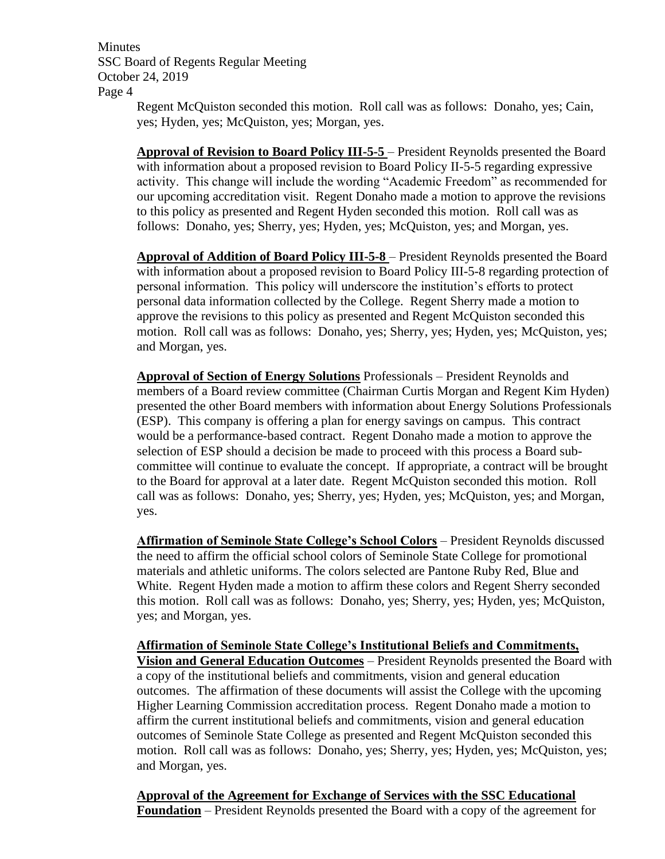Regent McQuiston seconded this motion. Roll call was as follows: Donaho, yes; Cain, yes; Hyden, yes; McQuiston, yes; Morgan, yes.

**Approval of Revision to Board Policy III-5-5** – President Reynolds presented the Board with information about a proposed revision to Board Policy II-5-5 regarding expressive activity. This change will include the wording "Academic Freedom" as recommended for our upcoming accreditation visit. Regent Donaho made a motion to approve the revisions to this policy as presented and Regent Hyden seconded this motion. Roll call was as follows: Donaho, yes; Sherry, yes; Hyden, yes; McQuiston, yes; and Morgan, yes.

**Approval of Addition of Board Policy III-5-8** – President Reynolds presented the Board with information about a proposed revision to Board Policy III-5-8 regarding protection of personal information. This policy will underscore the institution's efforts to protect personal data information collected by the College. Regent Sherry made a motion to approve the revisions to this policy as presented and Regent McQuiston seconded this motion. Roll call was as follows: Donaho, yes; Sherry, yes; Hyden, yes; McQuiston, yes; and Morgan, yes.

**Approval of Section of Energy Solutions** Professionals – President Reynolds and members of a Board review committee (Chairman Curtis Morgan and Regent Kim Hyden) presented the other Board members with information about Energy Solutions Professionals (ESP). This company is offering a plan for energy savings on campus. This contract would be a performance-based contract. Regent Donaho made a motion to approve the selection of ESP should a decision be made to proceed with this process a Board subcommittee will continue to evaluate the concept. If appropriate, a contract will be brought to the Board for approval at a later date. Regent McQuiston seconded this motion. Roll call was as follows: Donaho, yes; Sherry, yes; Hyden, yes; McQuiston, yes; and Morgan, yes.

**Affirmation of Seminole State College's School Colors** – President Reynolds discussed the need to affirm the official school colors of Seminole State College for promotional materials and athletic uniforms. The colors selected are Pantone Ruby Red, Blue and White. Regent Hyden made a motion to affirm these colors and Regent Sherry seconded this motion. Roll call was as follows: Donaho, yes; Sherry, yes; Hyden, yes; McQuiston, yes; and Morgan, yes.

**Affirmation of Seminole State College's Institutional Beliefs and Commitments, Vision and General Education Outcomes** – President Reynolds presented the Board with a copy of the institutional beliefs and commitments, vision and general education outcomes. The affirmation of these documents will assist the College with the upcoming Higher Learning Commission accreditation process. Regent Donaho made a motion to affirm the current institutional beliefs and commitments, vision and general education outcomes of Seminole State College as presented and Regent McQuiston seconded this motion. Roll call was as follows: Donaho, yes; Sherry, yes; Hyden, yes; McQuiston, yes; and Morgan, yes.

**Approval of the Agreement for Exchange of Services with the SSC Educational Foundation** – President Reynolds presented the Board with a copy of the agreement for